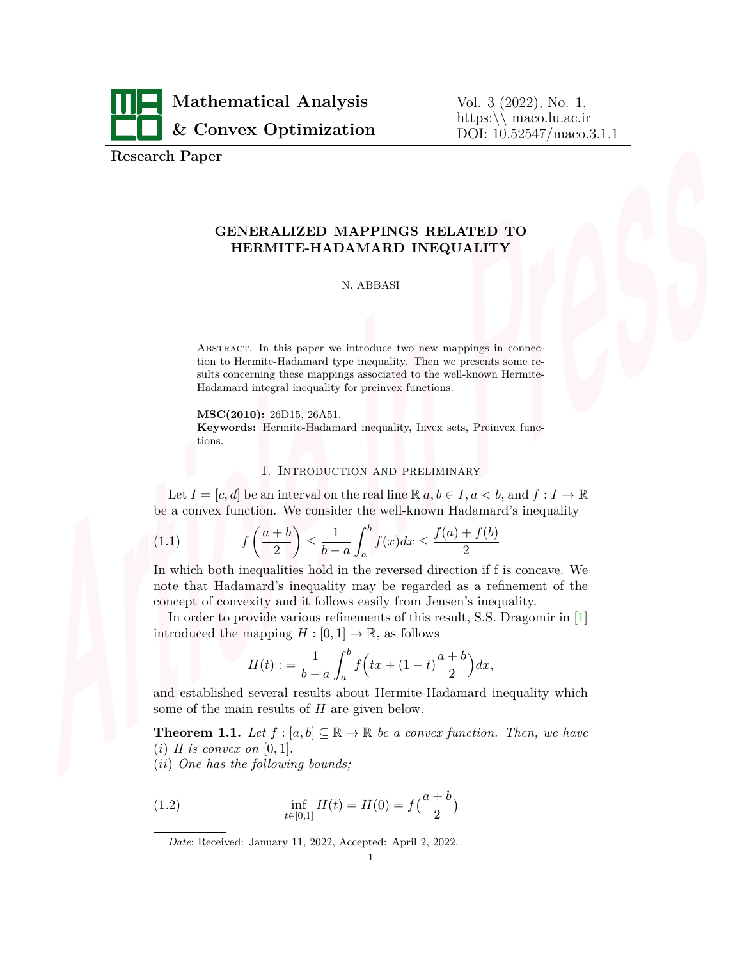

Vol. 3 (2022), No. 1, https:*\\* maco.lu.ac.ir DOI: 10.52547/maco.3.1.1

**Research Paper**

# **GENERALIZED MAPPINGS RELATED TO HERMITE-HADAMARD INEQUALITY**

#### N. ABBASI

ABSTRACT. In this paper we introduce two new mappings in connection to Hermite-Hadamard type inequality. Then we presents some results concerning these mappings associated to the well-known Hermite-Hadamard integral inequality for preinvex functions.

**MSC(2010):** 26D15, 26A51.

**Keywords:** Hermite-Hadamard inequality, Invex sets, Preinvex functions.

#### <span id="page-0-0"></span>1. Introduction and preliminary

Let  $I = [c, d]$  be an interval on the real line  $\mathbb{R} \{a, b \in I, a < b, \text{ and } f : I \to \mathbb{R}$ be a convex function. We consider the well-known Hadamard's inequality

$$
(1.1)\qquad \qquad f\left(\frac{a+b}{2}\right) \le \frac{1}{b-a} \int_a^b f(x)dx \le \frac{f(a)+f(b)}{2}
$$

In which both inequalities hold in the reversed direction if f is concave. We note that Hadamard's inequality may be regarded as a refinement of the concept of convexity and it follows easily from Jensen's inequality.

In order to provide various refinements of this result, S.S. Dragomir in [[1](#page-11-0)] introduced the mapping  $H : [0, 1] \to \mathbb{R}$ , as follows

$$
H(t) := \frac{1}{b-a} \int_{a}^{b} f\left(tx + (1-t)\frac{a+b}{2}\right) dx,
$$

and established several results about Hermite-Hadamard inequality which some of the main results of *H* are given below.

<span id="page-0-1"></span>**Theorem 1.1.** Let  $f : [a, b] \subseteq \mathbb{R} \to \mathbb{R}$  be a convex function. Then, we have  $(i)$  *H* is convex on [0, 1].

(*ii*) *One has the following bounds;*

(1.2) 
$$
\inf_{t \in [0,1]} H(t) = H(0) = f(\frac{a+b}{2})
$$

*Date*: Received: January 11, 2022, Accepted: April 2, 2022.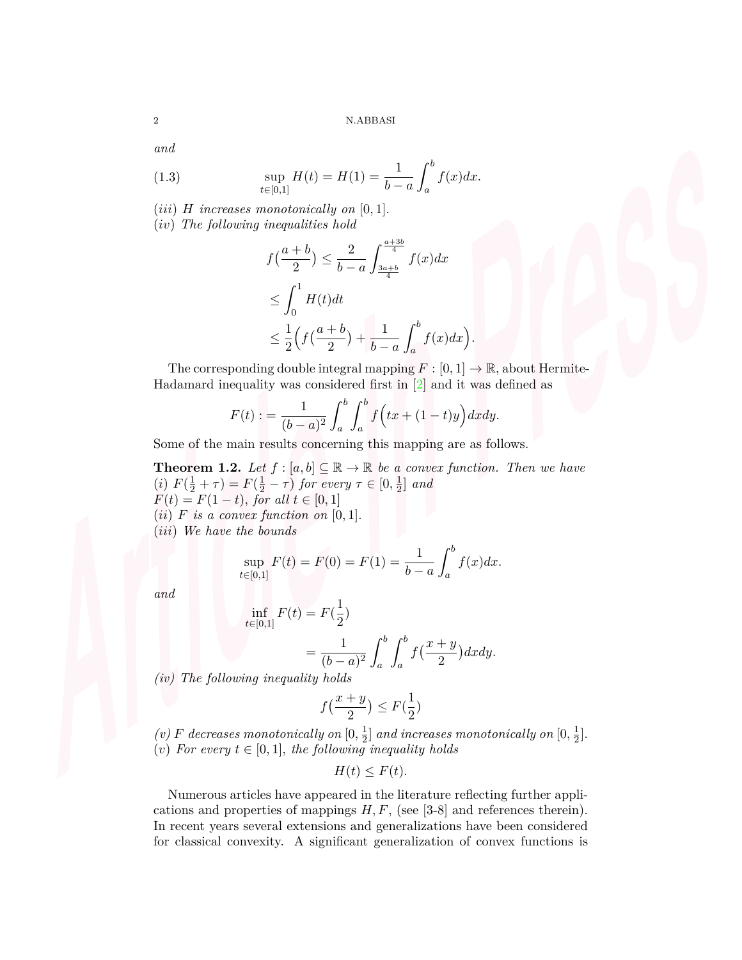*and*

(1.3) 
$$
\sup_{t \in [0,1]} H(t) = H(1) = \frac{1}{b-a} \int_a^b f(x) dx.
$$

 $(iii)$  *H increases monotonically on* [0, 1].

(*iv*) *The following inequalities hold*

$$
f\left(\frac{a+b}{2}\right) \le \frac{2}{b-a} \int_{\frac{3a+b}{4}}^{\frac{a+3b}{4}} f(x)dx
$$
  

$$
\le \int_0^1 H(t)dt
$$
  

$$
\le \frac{1}{2} \left( f\left(\frac{a+b}{2}\right) + \frac{1}{b-a} \int_a^b f(x)dx \right)
$$

The corresponding double integral mapping  $F : [0, 1] \to \mathbb{R}$ , about Hermite-Hadamard inequality was considered first in [[2](#page-12-0)] and it was defined as

*.*

$$
F(t) := \frac{1}{(b-a)^2} \int_a^b \int_a^b f\Big(tx + (1-t)y\Big) dx dy.
$$

Some of the main results concerning this mapping are as follows.

<span id="page-1-0"></span>**Theorem 1.2.** Let  $f : [a, b] \subseteq \mathbb{R} \to \mathbb{R}$  be a convex function. Then we have (*i*)  $F(\frac{1}{2} + \tau) = F(\frac{1}{2} - \tau)$  for every  $\tau \in [0, \frac{1}{2}]$  $\frac{1}{2}$  and  $F(t) = F(1-t)$ *, for all*  $t \in [0,1]$  $(ii)$  *F is a convex function on* [0, 1].

(*iii*) *We have the bounds*

$$
\sup_{t \in [0,1]} F(t) = F(0) = F(1) = \frac{1}{b-a} \int_a^b f(x) dx.
$$

*and*

$$
\inf_{t \in [0,1]} F(t) = F(\frac{1}{2})
$$
  
= 
$$
\frac{1}{(b-a)^2} \int_a^b \int_a^b f(\frac{x+y}{2}) dx dy.
$$

*(iv) The following inequality holds*

$$
f\left(\frac{x+y}{2}\right) \le F\left(\frac{1}{2}\right)
$$

(*v*) *F* decreases monotonically on  $[0, \frac{1}{2}]$  $\frac{1}{2}]$  and increases monotonically on  $[0,\frac{1}{2}]$  $\frac{1}{2}$ . (*v*) *For every*  $t \in [0,1]$ *, the following inequality holds* 

$$
H(t) \leq F(t).
$$

Numerous articles have appeared in the literature reflecting further applications and properties of mappings  $H, F$ , (see [3-8] and references therein). In recent years several extensions and generalizations have been considered for classical convexity. A significant generalization of convex functions is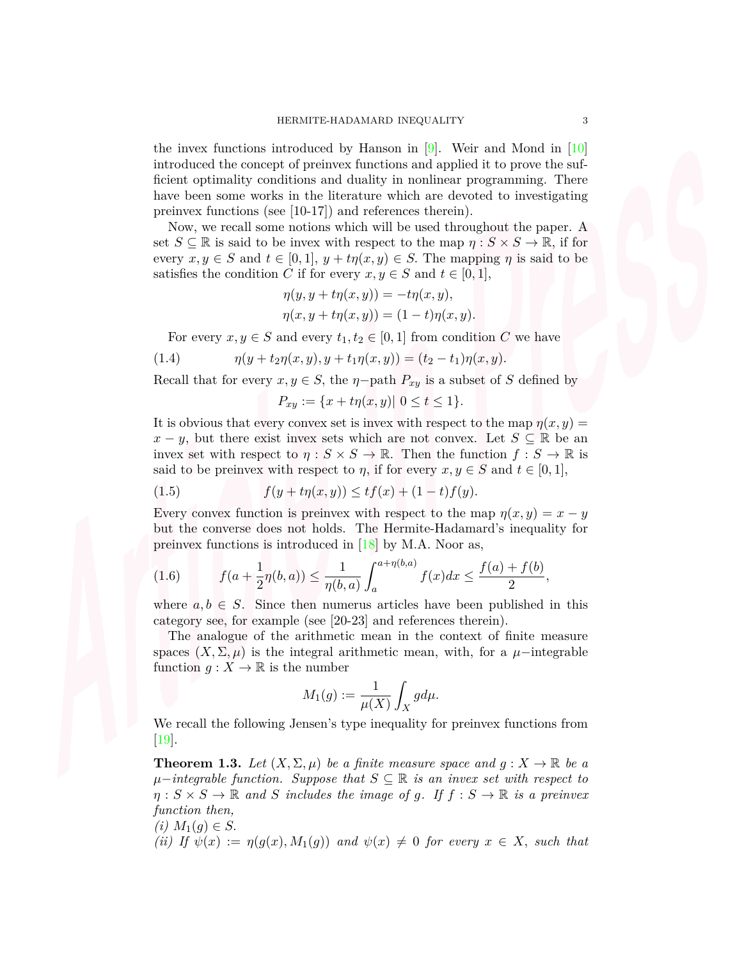the invex functions introduced by Hanson in  $[9]$ . Weir and Mond in  $[10]$ introduced the concept of preinvex functions and applied it to prove the sufficient optimality conditions and duality in nonlinear programming. There have been some works in the literature which are devoted to investigating preinvex functions (see [10-17]) and references therein).

Now, we recall some notions which will be used throughout the paper. A set  $S \subseteq \mathbb{R}$  is said to be invex with respect to the map  $\eta : S \times S \to \mathbb{R}$ , if for every  $x, y \in S$  and  $t \in [0, 1], y + t\eta(x, y) \in S$ . The mapping  $\eta$  is said to be satisfies the condition *C* if for every  $x, y \in S$  and  $t \in [0, 1]$ ,

$$
\eta(y, y + t\eta(x, y)) = -t\eta(x, y),
$$
  

$$
\eta(x, y + t\eta(x, y)) = (1 - t)\eta(x, y).
$$

For every  $x, y \in S$  and every  $t_1, t_2 \in [0, 1]$  from condition *C* we have

(1.4) 
$$
\eta(y+t_2\eta(x,y),y+t_1\eta(x,y))=(t_2-t_1)\eta(x,y).
$$

Recall that for every  $x, y \in S$ , the  $\eta$ *-*path  $P_{xy}$  is a subset of *S* defined by

<span id="page-2-1"></span>
$$
P_{xy} := \{x + t\eta(x, y) | 0 \le t \le 1\}.
$$

It is obvious that every convex set is invex with respect to the map  $\eta(x, y)$  = *x* − *y*, but there exist invex sets which are not convex. Let  $S \subseteq \mathbb{R}$  be an invex set with respect to  $\eta : S \times S \to \mathbb{R}$ . Then the function  $f : S \to \mathbb{R}$  is said to be preinvex with respect to *η*, if for every  $x, y \in S$  and  $t \in [0, 1]$ ,

(1.5) 
$$
f(y + t\eta(x, y)) \leq tf(x) + (1 - t)f(y).
$$

Every convex function is preinvex with respect to the map  $\eta(x, y) = x - y$ but the converse does not holds. The Hermite-Hadamard's inequality for preinvex functions is introduced in  $[18]$  $[18]$  by M.A. Noor as,

<span id="page-2-0"></span>(1.6) 
$$
f(a+\frac{1}{2}\eta(b,a)) \leq \frac{1}{\eta(b,a)} \int_{a}^{a+\eta(b,a)} f(x)dx \leq \frac{f(a)+f(b)}{2},
$$

where  $a, b \in S$ . Since then numerus articles have been published in this category see, for example (see [20-23] and references therein).

The analogue of the arithmetic mean in the context of finite measure spaces  $(X, \Sigma, \mu)$  is the integral arithmetic mean, with, for a  $\mu$ *−*integrable function  $g: X \to \mathbb{R}$  is the number

$$
M_1(g):=\frac{1}{\mu(X)}\int_X g d\mu.
$$

We recall the following Jensen's type inequality for preinvex functions from [[19\]](#page-12-4).

**Theorem 1.3.** Let  $(X, \Sigma, \mu)$  be a finite measure space and  $g: X \to \mathbb{R}$  be a *µ−integrable function. Suppose that S ⊆* R *is an invex set with respect to*  $\eta: S \times S \to \mathbb{R}$  and *S* includes the image of *g*. If  $f: S \to \mathbb{R}$  is a preinvex *function then,*

$$
(i) M_1(g) \in S.
$$

*(ii)* If  $\psi(x) := \eta(g(x), M_1(g))$  and  $\psi(x) \neq 0$  for every  $x \in X$ *, such that*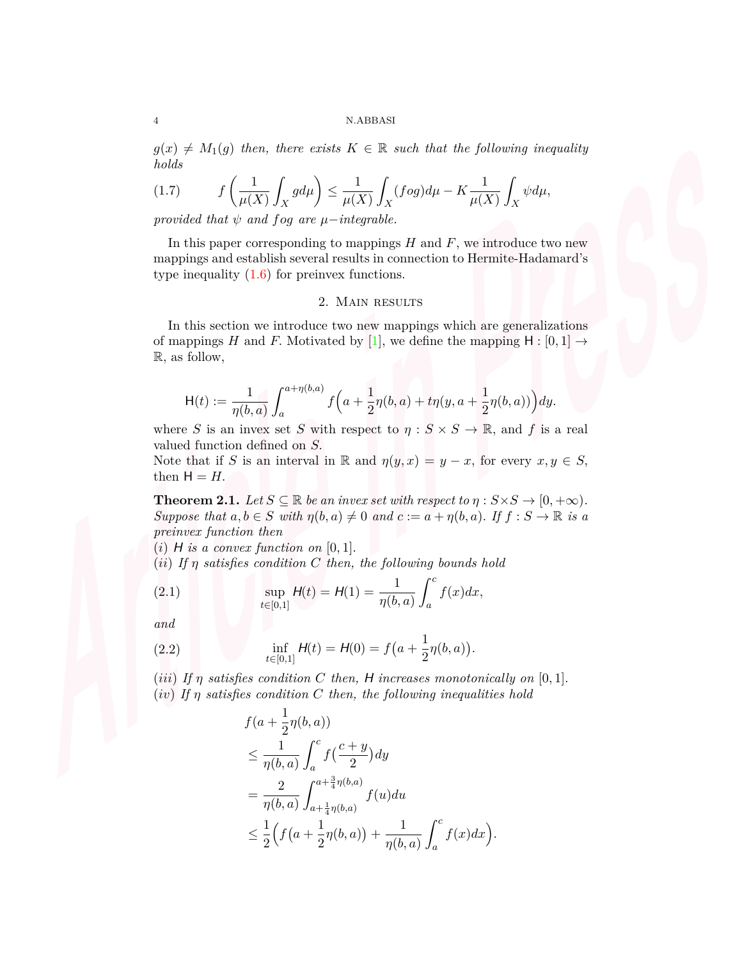$g(x) \neq M_1(g)$  *then, there exists*  $K \in \mathbb{R}$  *such that the following inequality holds*

<span id="page-3-1"></span>
$$
(1.7) \qquad \ f\left(\frac{1}{\mu(X)}\int_X gd\mu\right)\leq \frac{1}{\mu(X)}\int_X (f\circ g)d\mu -K\frac{1}{\mu(X)}\int_X \psi d\mu,
$$

*provided that*  $\psi$  *and*  $f \circ g$  *are*  $\mu$ *−integrable.* 

In this paper corresponding to mappings *H* and *F*, we introduce two new mappings and establish several results in connection to Hermite-Hadamard's type inequality  $(1.6)$  $(1.6)$  for preinvex functions.

## 2. Main results

In this section we introduce two new mappings which are generalizations of mappings *H* and *F*. Motivated by [[1](#page-11-0)], we define the mapping  $H : [0, 1] \rightarrow$ R*,* as follow,

$$
\mathsf{H}(t) := \frac{1}{\eta(b,a)} \int_{a}^{a+\eta(b,a)} f\Big(a+\frac{1}{2}\eta(b,a)+t\eta(y,a+\frac{1}{2}\eta(b,a))\Big)dy.
$$

where *S* is an invex set *S* with respect to  $\eta : S \times S \to \mathbb{R}$ , and *f* is a real valued function defined on *S.*

Note that if *S* is an interval in R and  $\eta(y, x) = y - x$ , for every  $x, y \in S$ , then  $H = H$ .

<span id="page-3-2"></span>**Theorem 2.1.** *Let*  $S \subseteq \mathbb{R}$  *be an invex set with respect to*  $\eta : S \times S \to [0, +\infty)$ *. Suppose that*  $a, b \in S$  *with*  $\eta(b, a) \neq 0$  *and*  $c := a + \eta(b, a)$ *.* If  $f : S \to \mathbb{R}$  *is a preinvex function then*

 $(i)$  *H* is a convex function on  $[0, 1]$ .

(*ii*) *If η satisfies condition C then, the following bounds hold*

<span id="page-3-0"></span>(2.1) 
$$
\sup_{t \in [0,1]} H(t) = H(1) = \frac{1}{\eta(b,a)} \int_a^c f(x) dx,
$$

*and*

(2.2) 
$$
\inf_{t \in [0,1]} H(t) = H(0) = f\left(a + \frac{1}{2}\eta(b,a)\right).
$$

(*iii*) If  $\eta$  satisfies condition C then, H increases monotonically on [0,1]. (*iv*) *If η satisfies condition C then, the following inequalities hold*

$$
f(a + \frac{1}{2}\eta(b, a))
$$
  
\n
$$
\leq \frac{1}{\eta(b, a)} \int_{a}^{c} f(\frac{c + y}{2}) dy
$$
  
\n
$$
= \frac{2}{\eta(b, a)} \int_{a + \frac{1}{4}\eta(b, a)}^{a + \frac{3}{4}\eta(b, a)} f(u) du
$$
  
\n
$$
\leq \frac{1}{2} \Big( f(a + \frac{1}{2}\eta(b, a)) + \frac{1}{\eta(b, a)} \int_{a}^{c} f(x) dx \Big).
$$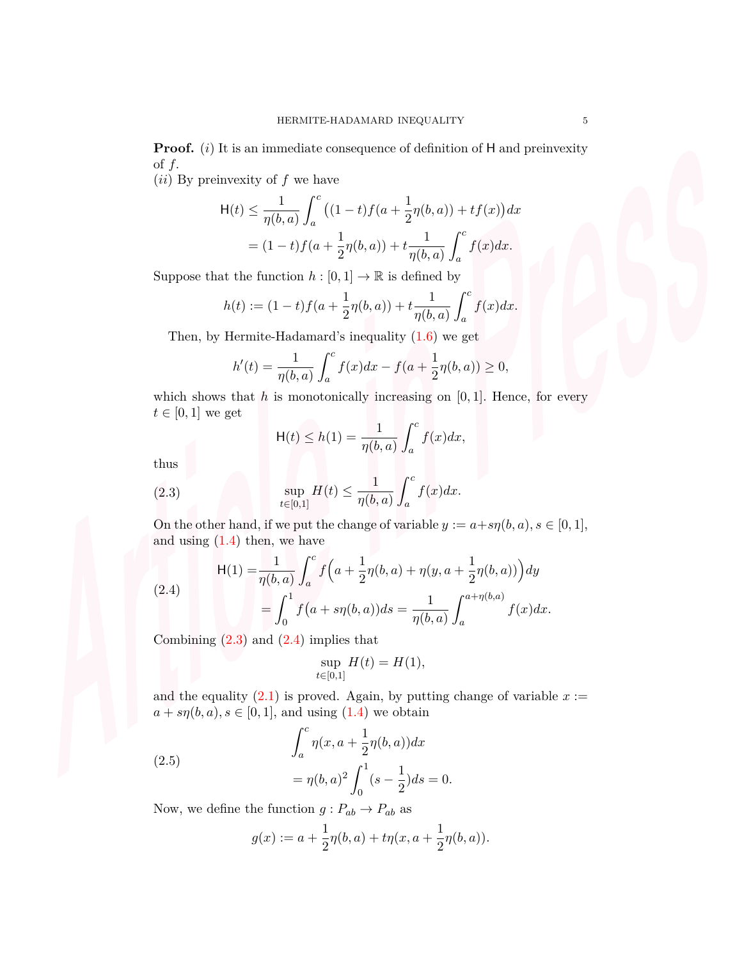**Proof.** (*i*) It is an immediate consequence of definition of H and preinvexity of *f.*

(*ii*) By preinvexity of *f* we have

$$
\mathsf{H}(t) \le \frac{1}{\eta(b,a)} \int_a^c \left( (1-t)f(a + \frac{1}{2}\eta(b,a)) + tf(x) \right) dx
$$
  
=  $(1-t)f(a + \frac{1}{2}\eta(b,a)) + t\frac{1}{\eta(b,a)} \int_a^c f(x)dx.$ 

Suppose that the function  $h : [0,1] \to \mathbb{R}$  is defined by

$$
h(t) := (1-t)f(a + \frac{1}{2}\eta(b,a)) + t\frac{1}{\eta(b,a)}\int_a^c f(x)dx.
$$

Then, by Hermite-Hadamard's inequality  $(1.6)$  $(1.6)$  we get

$$
h'(t) = \frac{1}{\eta(b,a)} \int_a^c f(x)dx - f(a + \frac{1}{2}\eta(b,a)) \ge 0,
$$

which shows that  $h$  is monotonically increasing on  $[0, 1]$ . Hence, for every  $t \in [0, 1]$  we get

<span id="page-4-0"></span>
$$
\mathsf{H}(t) \le h(1) = \frac{1}{\eta(b,a)} \int_a^c f(x) dx,
$$

thus

(2.3) 
$$
\sup_{t \in [0,1]} H(t) \le \frac{1}{\eta(b,a)} \int_a^c f(x) dx.
$$

On the other hand, if we put the change of variable  $y := a + s\eta(b, a), s \in [0, 1]$ , and using  $(1.4)$  $(1.4)$  then, we have

<span id="page-4-1"></span>(2.4)  
\n
$$
\mathsf{H}(1) = \frac{1}{\eta(b,a)} \int_a^c f\left(a + \frac{1}{2}\eta(b,a) + \eta(y,a + \frac{1}{2}\eta(b,a))\right) dy
$$
\n
$$
= \int_0^1 f\left(a + s\eta(b,a)\right) ds = \frac{1}{\eta(b,a)} \int_a^{a + \eta(b,a)} f(x) dx.
$$

Combining  $(2.3)$  $(2.3)$  and  $(2.4)$  $(2.4)$  implies that

$$
\sup_{t \in [0,1]} H(t) = H(1),
$$

and the equality  $(2.1)$  $(2.1)$  is proved. Again, by putting change of variable  $x :=$  $a + s\eta(b, a), s \in [0, 1]$ , and using  $(1.4)$  $(1.4)$  we obtain

(2.5) 
$$
\int_{a}^{c} \eta(x, a + \frac{1}{2}\eta(b, a)) dx
$$

$$
= \eta(b, a)^{2} \int_{0}^{1} (s - \frac{1}{2}) ds = 0.
$$

Now, we define the function  $g: P_{ab} \to P_{ab}$  as

<span id="page-4-2"></span>
$$
g(x) := a + \frac{1}{2}\eta(b, a) + t\eta(x, a + \frac{1}{2}\eta(b, a)).
$$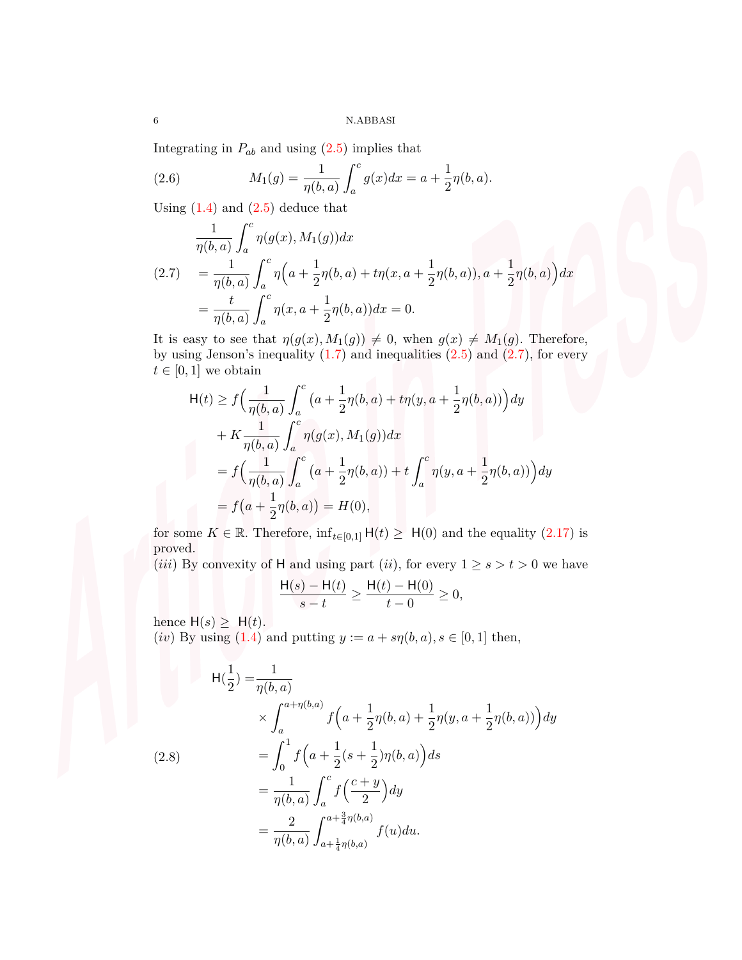Integrating in  $P_{ab}$  and using  $(2.5)$  $(2.5)$  implies that

(2.6) 
$$
M_1(g) = \frac{1}{\eta(b,a)} \int_a^c g(x) dx = a + \frac{1}{2}\eta(b,a).
$$

Using  $(1.4)$  $(1.4)$  and  $(2.5)$  $(2.5)$  deduce that

<span id="page-5-0"></span>
$$
\frac{1}{\eta(b,a)} \int_a^c \eta(g(x), M_1(g)) dx
$$
\n(2.7) 
$$
= \frac{1}{\eta(b,a)} \int_a^c \eta\Big(a + \frac{1}{2}\eta(b,a) + t\eta(x,a + \frac{1}{2}\eta(b,a)), a + \frac{1}{2}\eta(b,a)\Big) dx
$$
\n
$$
= \frac{t}{\eta(b,a)} \int_a^c \eta(x,a + \frac{1}{2}\eta(b,a)) dx = 0.
$$

It is easy to see that  $\eta(g(x), M_1(g)) \neq 0$ , when  $g(x) \neq M_1(g)$ . Therefore, by using Jenson's inequality  $(1.7)$  $(1.7)$  and inequalities  $(2.5)$  $(2.5)$  and  $(2.7)$  $(2.7)$ , for every  $t \in [0, 1]$  we obtain

$$
H(t) \ge f\left(\frac{1}{\eta(b,a)} \int_a^c \left(a + \frac{1}{2}\eta(b,a) + t\eta(y,a + \frac{1}{2}\eta(b,a)\right)\right) dy
$$
  
+  $K \frac{1}{\eta(b,a)} \int_a^c \eta(g(x), M_1(g)) dx$   
=  $f\left(\frac{1}{\eta(b,a)} \int_a^c \left(a + \frac{1}{2}\eta(b,a)\right) + t \int_a^c \eta(y,a + \frac{1}{2}\eta(b,a))\right) dy$   
=  $f\left(a + \frac{1}{2}\eta(b,a)\right) = H(0),$ 

for some  $K \in \mathbb{R}$ . Therefore,  $\inf_{t \in [0,1]} H(t) \geq H(0)$  and the equality ([2.17](#page-10-0)) is proved.

(*iii*) By convexity of H and using part (*ii*), for every  $1 \ge s > t > 0$  we have

$$
\frac{H(s) - H(t)}{s - t} \ge \frac{H(t) - H(0)}{t - 0} \ge 0,
$$

hence  $H(s) \geq H(t)$ .

(*iv*) By using [\(1.4](#page-2-1)) and putting  $y := a + s\eta(b, a), s \in [0, 1]$  then,

<span id="page-5-1"></span>
$$
H(\frac{1}{2}) = \frac{1}{\eta(b,a)}
$$
  
\n
$$
\times \int_{a}^{a+\eta(b,a)} f\left(a + \frac{1}{2}\eta(b,a) + \frac{1}{2}\eta(y,a + \frac{1}{2}\eta(b,a))\right) dy
$$
  
\n(2.8)  
\n
$$
= \int_{0}^{1} f\left(a + \frac{1}{2}(s + \frac{1}{2})\eta(b,a)\right) ds
$$
  
\n
$$
= \frac{1}{\eta(b,a)} \int_{a}^{c} f\left(\frac{c+y}{2}\right) dy
$$
  
\n
$$
= \frac{2}{\eta(b,a)} \int_{a + \frac{1}{4}\eta(b,a)}^{a + \frac{3}{4}\eta(b,a)} f(u) du.
$$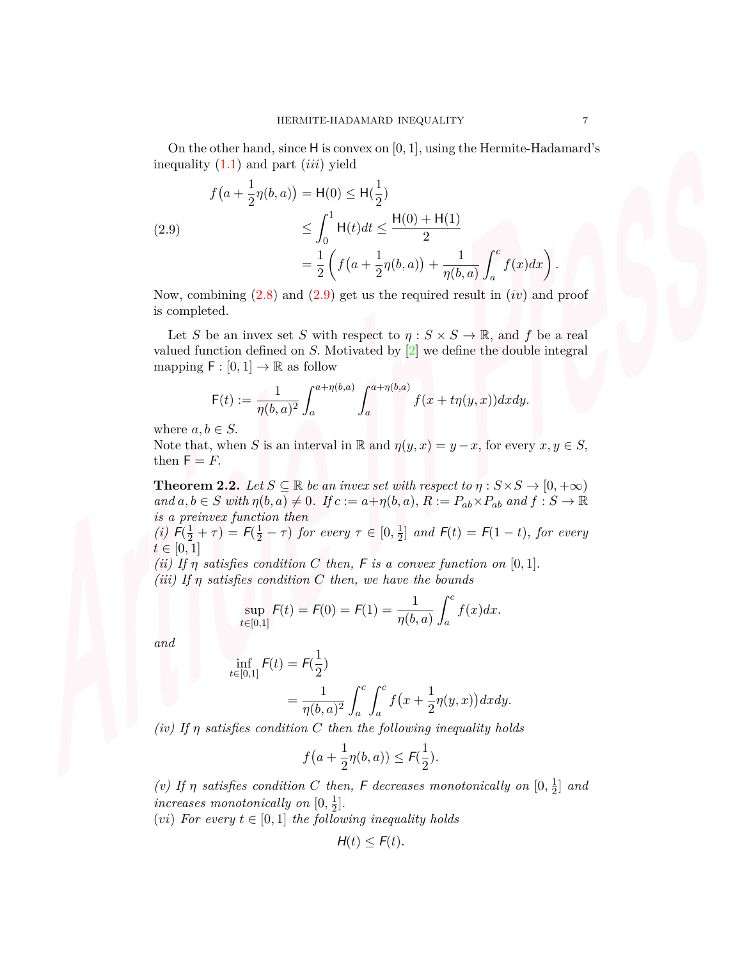On the other hand, since H is convex on [0*,* 1]*,* using the Hermite-Hadamard's inequality ([1.1](#page-0-0)) and part (*iii*) yield

<span id="page-6-0"></span>(2.9)  

$$
f(a + \frac{1}{2}\eta(b, a)) = H(0) \le H(\frac{1}{2})
$$

$$
\le \int_0^1 H(t)dt \le \frac{H(0) + H(1)}{2}
$$

$$
= \frac{1}{2} \left( f(a + \frac{1}{2}\eta(b, a)) + \frac{1}{\eta(b, a)} \int_a^c f(x)dx \right).
$$

Now, combining [\(2.8](#page-5-1)) and ([2.9\)](#page-6-0) get us the required result in (*iv*) and proof is completed.

Let *S* be an invex set *S* with respect to  $\eta : S \times S \to \mathbb{R}$ , and *f* be a real valued function defined on *S.* Motivated by [\[2\]](#page-12-0) we define the double integral mapping  $\mathsf{F} : [0,1] \to \mathbb{R}$  as follow

$$
F(t) := \frac{1}{\eta(b,a)^2} \int_a^{a+\eta(b,a)} \int_a^{a+\eta(b,a)} f(x+t\eta(y,x)) dx dy.
$$

where  $a, b \in S$ .

Note that, when *S* is an interval in R and  $\eta(y, x) = y - x$ , for every  $x, y \in S$ , then  $F = F$ .

<span id="page-6-1"></span>**Theorem 2.2.** *Let*  $S \subseteq \mathbb{R}$  *be an invex set with respect to*  $\eta : S \times S \rightarrow [0, +\infty)$ and  $a, b \in S$  with  $\eta(b, a) \neq 0$ . If  $c := a + \eta(b, a)$ ,  $R := P_{ab} \times P_{ab}$  and  $f : S \to \mathbb{R}$ *is a preinvex function then*

*(i)*  $F(\frac{1}{2} + \tau) = F(\frac{1}{2} - \tau)$  *for every*  $\tau \in [0, \frac{1}{2}]$  $\mathcal{F}_{2}^{\perp}$  and  $\mathcal{F}(t) = \mathcal{F}(1-t)$ , for every  $t \in [0, 1]$ 

*(ii)* If  $\eta$  *satisfies condition C* then, **F** *is a convex function on* [0,1]*. (iii) If η satisfies condition C then, we have the bounds*

$$
\sup_{t \in [0,1]} F(t) = F(0) = F(1) = \frac{1}{\eta(b,a)} \int_a^c f(x) dx.
$$

*and*

$$
\inf_{t \in [0,1]} F(t) = F(\frac{1}{2})
$$
  
= 
$$
\frac{1}{\eta(b,a)^2} \int_a^c \int_a^c f(x + \frac{1}{2}\eta(y,x)) dx dy.
$$

*(iv) If η satisfies condition C then the following inequality holds*

$$
f\big(a+\frac{1}{2}\eta(b,a)\big)\leq \mathcal{F}(\frac{1}{2}).
$$

*(v)* If *η* satisfies condition *C* then, *F* decreases monotonically on  $[0, \frac{1}{2}]$  $\frac{1}{2}$  and *increases monotonically on*  $[0, \frac{1}{2}]$  $\frac{1}{2}$ .

(*vi*) For every  $t \in [0, 1]$  the following inequality holds

$$
H(t) \leq F(t).
$$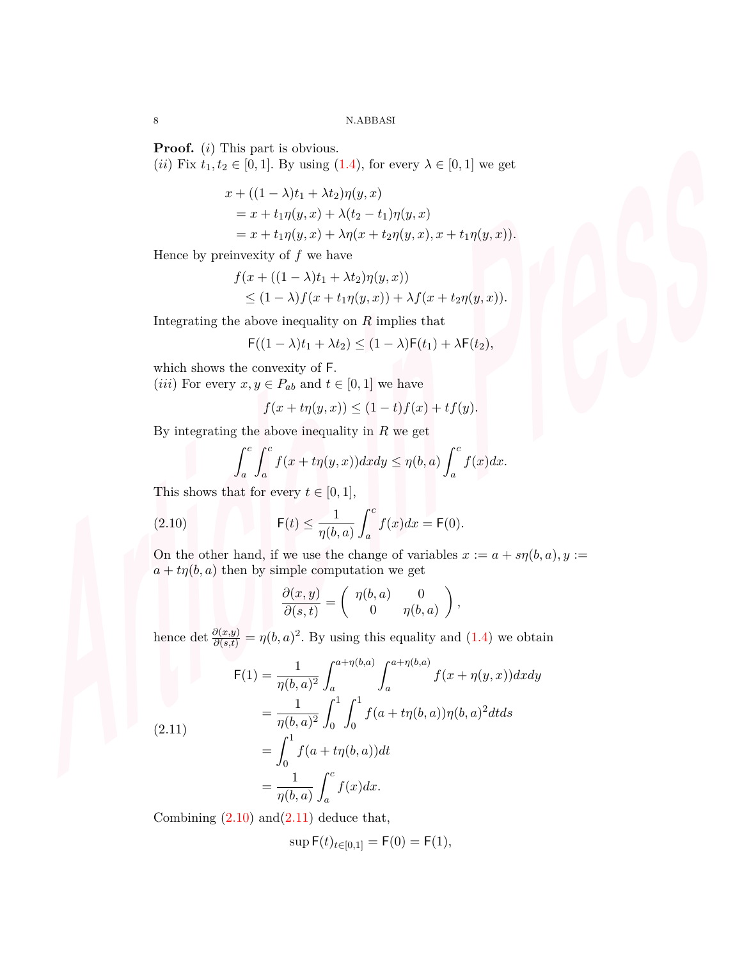**Proof.** (*i*) This part is obvious.

(*ii*) Fix  $t_1, t_2 \in [0, 1]$ *.* By using  $(1.4)$  $(1.4)$ *,* for every  $\lambda \in [0, 1]$  we get

$$
x + ((1 - \lambda)t_1 + \lambda t_2)\eta(y, x)
$$
  
=  $x + t_1\eta(y, x) + \lambda(t_2 - t_1)\eta(y, x)$   
=  $x + t_1\eta(y, x) + \lambda\eta(x + t_2\eta(y, x), x + t_1\eta(y, x)).$ 

Hence by preinvexity of *f* we have

$$
f(x + ((1 - \lambda)t_1 + \lambda t_2)\eta(y, x))
$$
  
\n
$$
\leq (1 - \lambda)f(x + t_1\eta(y, x)) + \lambda f(x + t_2\eta(y, x)).
$$

Integrating the above inequality on *R* implies that

$$
\mathsf{F}((1-\lambda)t_1 + \lambda t_2) \le (1-\lambda)\mathsf{F}(t_1) + \lambda\mathsf{F}(t_2),
$$

which shows the convexity of F*.*

(*iii*) For every  $x, y \in P_{ab}$  and  $t \in [0, 1]$  we have

$$
f(x+t\eta(y,x)) \le (1-t)f(x) + tf(y).
$$

By integrating the above inequality in *R* we get

$$
\int_{a}^{c} \int_{a}^{c} f(x+t\eta(y,x)) dx dy \leq \eta(b,a) \int_{a}^{c} f(x) dx.
$$

This shows that for every  $t \in [0, 1]$ ,

(2.10) 
$$
\mathsf{F}(t) \leq \frac{1}{\eta(b,a)} \int_a^c f(x) dx = \mathsf{F}(0).
$$

On the other hand, if we use the change of variables  $x := a + s\eta(b, a), y :=$  $a + t\eta(b, a)$  then by simple computation we get

<span id="page-7-0"></span>
$$
\frac{\partial(x,y)}{\partial(s,t)} = \begin{pmatrix} \eta(b,a) & 0 \\ 0 & \eta(b,a) \end{pmatrix},
$$

hence det  $\frac{\partial(x,y)}{\partial(s,t)} = \eta(b,a)^2$ . By using this equality and ([1.4\)](#page-2-1) we obtain

<span id="page-7-1"></span>(2.11)  
\n
$$
F(1) = \frac{1}{\eta(b,a)^2} \int_a^{a+\eta(b,a)} \int_a^{a+\eta(b,a)} f(x+\eta(y,x)) dx dy
$$
\n
$$
= \frac{1}{\eta(b,a)^2} \int_0^1 \int_0^1 f(a+t\eta(b,a))\eta(b,a)^2 dt ds
$$
\n
$$
= \int_0^1 f(a+t\eta(b,a)) dt
$$
\n
$$
= \frac{1}{\eta(b,a)} \int_a^c f(x) dx.
$$

Combining  $(2.10)$  and  $(2.11)$  deduce that,

$$
\sup \mathsf{F}(t)_{t \in [0,1]} = \mathsf{F}(0) = \mathsf{F}(1),
$$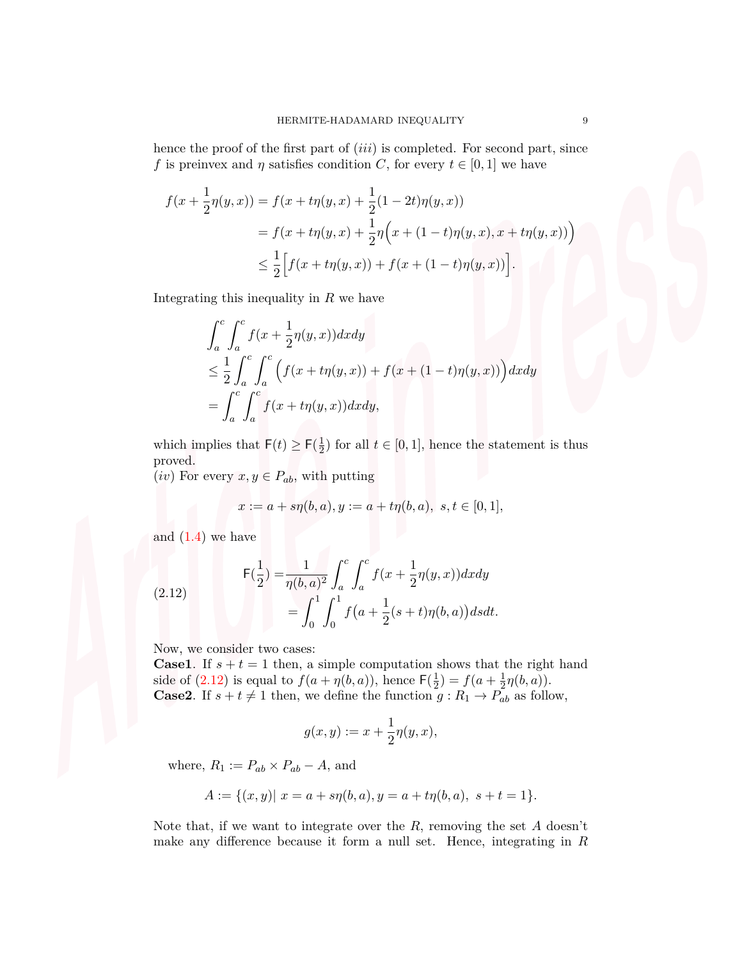hence the proof of the first part of (*iii*) is completed. For second part, since *f* is preinvex and *η* satisfies condition *C*, for every  $t \in [0, 1]$  we have

$$
f(x + \frac{1}{2}\eta(y, x)) = f(x + t\eta(y, x) + \frac{1}{2}(1 - 2t)\eta(y, x))
$$
  
=  $f(x + t\eta(y, x) + \frac{1}{2}\eta(x + (1 - t)\eta(y, x), x + t\eta(y, x)))$   

$$
\leq \frac{1}{2} \Big[ f(x + t\eta(y, x)) + f(x + (1 - t)\eta(y, x)) \Big].
$$

Integrating this inequality in *R* we have

$$
\int_{a}^{c} \int_{a}^{c} f(x + \frac{1}{2}\eta(y, x)) dx dy
$$
\n
$$
\leq \frac{1}{2} \int_{a}^{c} \int_{a}^{c} \left( f(x + t\eta(y, x)) + f(x + (1 - t)\eta(y, x)) \right) dx dy
$$
\n
$$
= \int_{a}^{c} \int_{a}^{c} f(x + t\eta(y, x)) dx dy,
$$

which implies that  $F(t) \ge F(\frac{1}{2})$  $\frac{1}{2}$  for all  $t \in [0, 1]$ , hence the statement is thus proved.

(*iv*) For every  $x, y \in P_{ab}$ , with putting

<span id="page-8-0"></span>
$$
x := a + s\eta(b, a), y := a + t\eta(b, a), \ s, t \in [0, 1],
$$

and  $(1.4)$  $(1.4)$  we have

(2.12) 
$$
\mathsf{F}(\frac{1}{2}) = \frac{1}{\eta(b,a)^2} \int_a^c \int_a^c f(x + \frac{1}{2}\eta(y,x))dxdy
$$

$$
= \int_0^1 \int_0^1 f(a + \frac{1}{2}(s+t)\eta(b,a))dsdt.
$$

Now, we consider two cases:

**Case1**. If  $s + t = 1$  then, a simple computation shows that the right hand side of  $(2.12)$  is equal to  $f(a + \eta(b, a))$ , hence  $\mathsf{F}(\frac{1}{2})$  $(\frac{1}{2}) = f(a + \frac{1}{2})$  $rac{1}{2}\eta(b,a)).$ **Case2**. If  $s + t \neq 1$  then, we define the function  $g : R_1 \to P_{ab}$  as follow,

$$
g(x,y) := x + \frac{1}{2}\eta(y,x),
$$

where,  $R_1 := P_{ab} \times P_{ab} - A$ , and

$$
A := \{(x, y) | x = a + s\eta(b, a), y = a + t\eta(b, a), s + t = 1\}.
$$

Note that, if we want to integrate over the *R*, removing the set *A* doesn't make any difference because it form a null set. Hence, integrating in *R*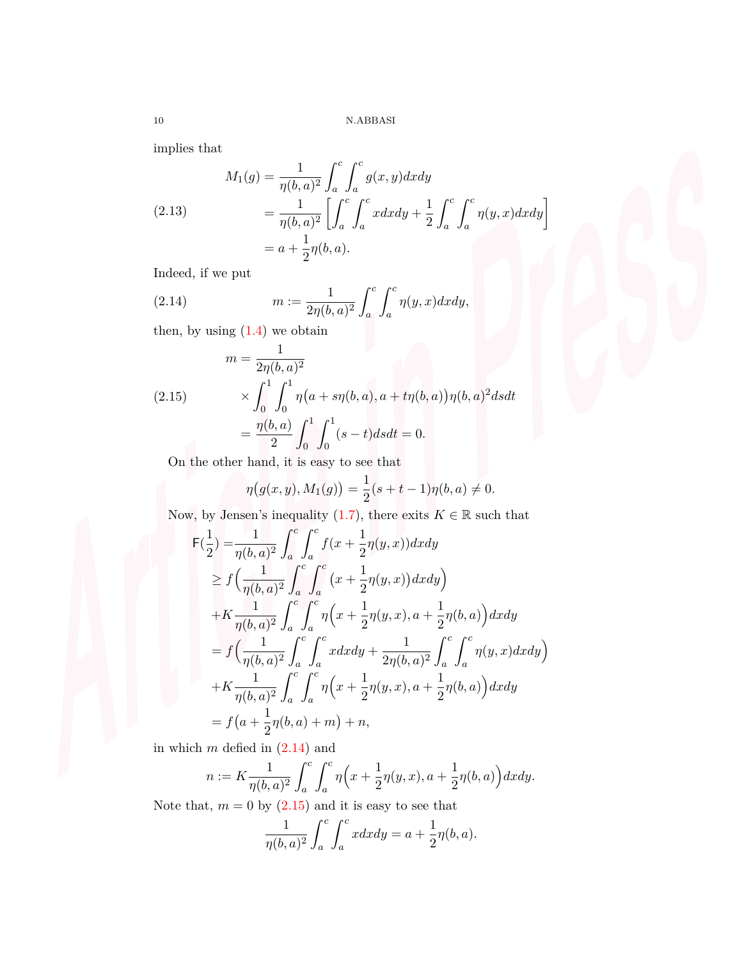implies that

(2.13) 
$$
M_1(g) = \frac{1}{\eta(b, a)^2} \int_a^c \int_a^c g(x, y) dx dy
$$

$$
= \frac{1}{\eta(b, a)^2} \left[ \int_a^c \int_a^c x dx dy + \frac{1}{2} \int_a^c \int_a^c \eta(y, x) dx dy \right]
$$

$$
= a + \frac{1}{2} \eta(b, a).
$$

Indeed, if we put

<span id="page-9-0"></span>(2.14) 
$$
m := \frac{1}{2\eta(b,a)^2} \int_a^c \int_a^c \eta(y,x) dx dy,
$$

then, by using  $(1.4)$  $(1.4)$  $(1.4)$  we obtain

<span id="page-9-1"></span>(2.15) 
$$
m = \frac{1}{2\eta(b, a)^2}
$$

$$
\times \int_0^1 \int_0^1 \eta(a + s\eta(b, a), a + t\eta(b, a))\eta(b, a)^2 ds dt
$$

$$
= \frac{\eta(b, a)}{2} \int_0^1 \int_0^1 (s - t) ds dt = 0.
$$

On the other hand, it is easy to see that

$$
\eta(g(x, y), M_1(g)) = \frac{1}{2}(s+t-1)\eta(b, a) \neq 0.
$$

Now, by Jensen's inequality [\(1.7](#page-3-1)), there exits  $K \in \mathbb{R}$  such that

$$
\begin{split}\n\mathsf{F}(\frac{1}{2}) &= \frac{1}{\eta(b,a)^2} \int_a^c \int_a^c f(x + \frac{1}{2}\eta(y,x))dxdy \\
&\ge f\left(\frac{1}{\eta(b,a)^2} \int_a^c \int_a^c (x + \frac{1}{2}\eta(y,x))dxdy\right) \\
&+ K\frac{1}{\eta(b,a)^2} \int_a^c \int_a^c \eta\left(x + \frac{1}{2}\eta(y,x), a + \frac{1}{2}\eta(b,a)\right) dxdy \\
&= f\left(\frac{1}{\eta(b,a)^2} \int_a^c \int_a^c x dxdy + \frac{1}{2\eta(b,a)^2} \int_a^c \int_a^c \eta(y,x) dxdy\right) \\
&+ K\frac{1}{\eta(b,a)^2} \int_a^c \int_a^c \eta\left(x + \frac{1}{2}\eta(y,x), a + \frac{1}{2}\eta(b,a)\right) dxdy \\
&= f\left(a + \frac{1}{2}\eta(b,a) + m\right) + n,\n\end{split}
$$

in which *m* defied in [\(2.14\)](#page-9-0) and

$$
n := K \frac{1}{\eta(b,a)^2} \int_a^c \int_a^c \eta\Big(x + \frac{1}{2}\eta(y,x), a + \frac{1}{2}\eta(b,a)\Big) dx dy.
$$

Note that,  $m = 0$  by  $(2.15)$  and it is easy to see that

$$
\frac{1}{\eta(b,a)^2} \int_a^c \int_a^c x dx dy = a + \frac{1}{2} \eta(b,a).
$$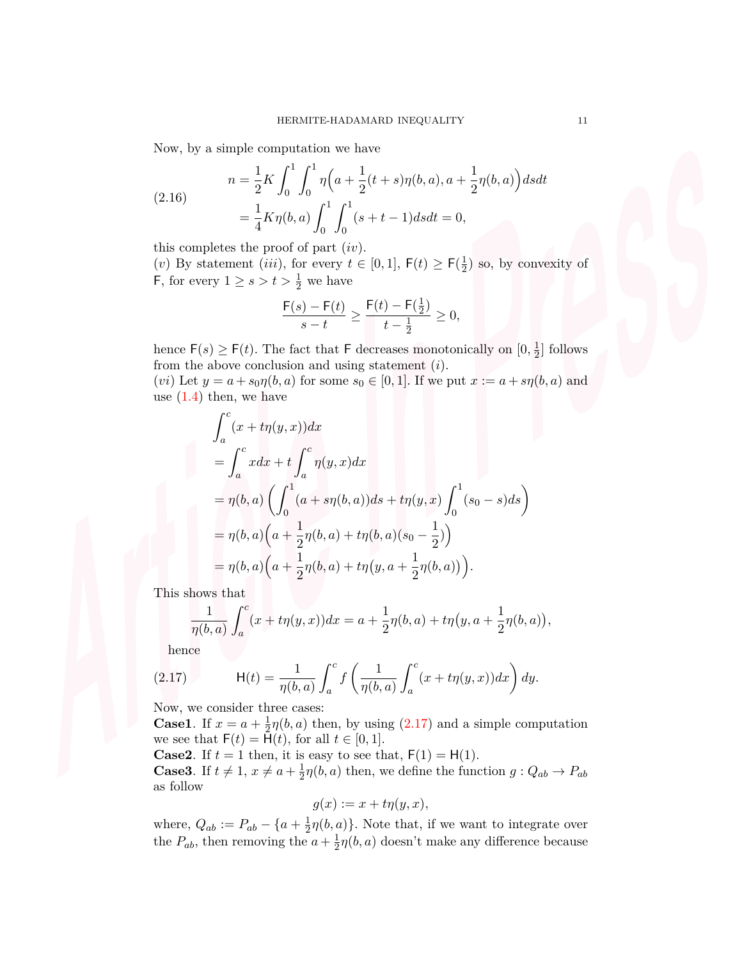Now, by a simple computation we have

(2.16) 
$$
n = \frac{1}{2}K \int_0^1 \int_0^1 \eta \Big( a + \frac{1}{2}(t+s)\eta(b,a), a + \frac{1}{2}\eta(b,a) \Big) ds dt
$$

$$
= \frac{1}{4}K\eta(b,a) \int_0^1 \int_0^1 (s+t-1) ds dt = 0,
$$

this completes the proof of part (*iv*)*.*

(*v*) By statement (*iii*), for every  $t \in [0,1]$ ,  $F(t) \ge F(\frac{1}{2})$  $(\frac{1}{2})$  so, by convexity of F, for every  $1 \geq s > t > \frac{1}{2}$  we have

$$
\frac{\mathsf{F}(s) - \mathsf{F}(t)}{s - t} \ge \frac{\mathsf{F}(t) - \mathsf{F}(\frac{1}{2})}{t - \frac{1}{2}} \ge 0,
$$

hence  $F(s) \geq F(t)$ . The fact that F decreases monotonically on  $[0, \frac{1}{2}]$  $\frac{1}{2}$  follows from the above conclusion and using statement (*i*)*.*

(*vi*) Let  $y = a + s_0 \eta(b, a)$  for some  $s_0 \in [0, 1]$ . If we put  $x := a + s\eta(b, a)$  and use  $(1.4)$  $(1.4)$  then, we have

$$
\int_{a}^{c} (x + t\eta(y, x)) dx
$$
  
= 
$$
\int_{a}^{c} x dx + t \int_{a}^{c} \eta(y, x) dx
$$
  
= 
$$
\eta(b, a) \left( \int_{0}^{1} (a + s\eta(b, a)) ds + t\eta(y, x) \int_{0}^{1} (s_0 - s) ds \right)
$$
  
= 
$$
\eta(b, a) \left( a + \frac{1}{2}\eta(b, a) + t\eta(b, a)(s_0 - \frac{1}{2}) \right)
$$
  
= 
$$
\eta(b, a) \left( a + \frac{1}{2}\eta(b, a) + t\eta(y, a + \frac{1}{2}\eta(b, a)) \right).
$$

This shows that

$$
\frac{1}{\eta(b,a)} \int_a^c (x + t\eta(y,x))dx = a + \frac{1}{2}\eta(b,a) + t\eta(y,a + \frac{1}{2}\eta(b,a)),
$$

<span id="page-10-0"></span>hence

(2.17) 
$$
H(t) = \frac{1}{\eta(b,a)} \int_a^c f\left(\frac{1}{\eta(b,a)} \int_a^c (x + t\eta(y,x))dx\right) dy.
$$

Now, we consider three cases:

**Case1**. If  $x = a + \frac{1}{2}$  $\frac{1}{2}\eta(b,a)$  then, by using ([2.17](#page-10-0)) and a simple computation we see that  $F(t) = \bar{H}(t)$ , for all  $t \in [0, 1]$ .

**Case2**. If  $t = 1$  then, it is easy to see that,  $F(1) = H(1)$ . **Case3**. If  $t \neq 1, x \neq a + \frac{1}{2}$  $\frac{1}{2}\eta(b, a)$  then, we define the function  $g: Q_{ab} \to P_{ab}$ as follow

$$
g(x) := x + t\eta(y, x),
$$

where,  $Q_{ab} := P_{ab} - \{a + \frac{1}{2}\}$  $\frac{1}{2}\eta(b,a)$ }. Note that, if we want to integrate over the  $P_{ab}$ , then removing the  $a + \frac{1}{2}$  $\frac{1}{2}\eta(b,a)$  doesn't make any difference because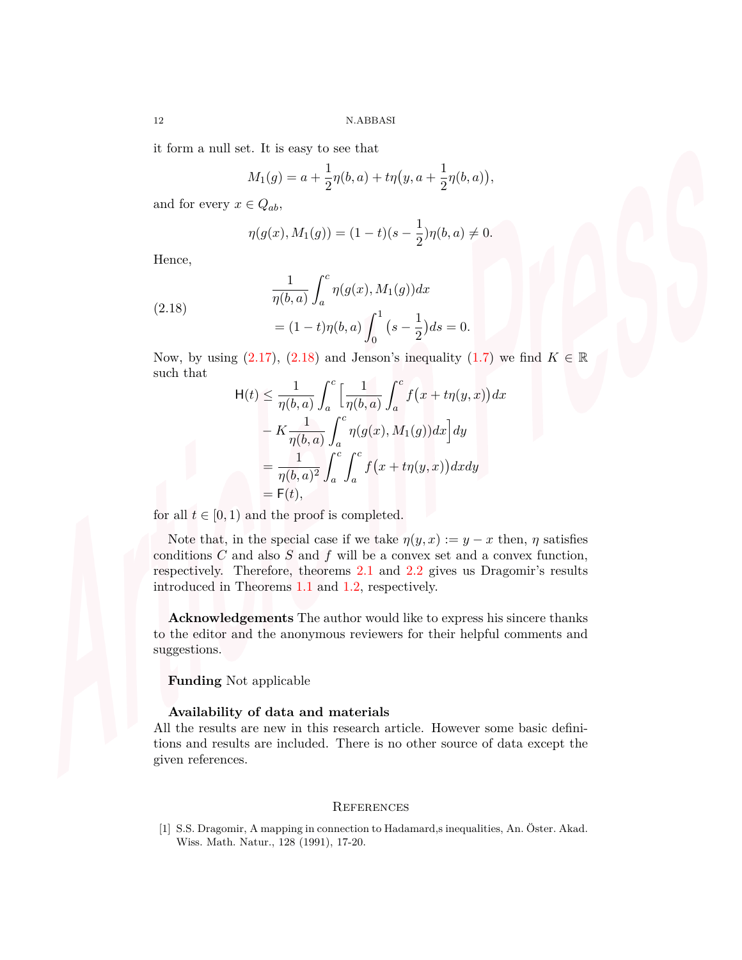it form a null set. It is easy to see that

$$
M_1(g) = a + \frac{1}{2}\eta(b, a) + t\eta(y, a + \frac{1}{2}\eta(b, a)),
$$

and for every  $x \in Q_{ab}$ ,

<span id="page-11-1"></span>
$$
\eta(g(x), M_1(g)) = (1-t)(s-\frac{1}{2})\eta(b, a) \neq 0.
$$

Hence,

(2.18) 
$$
\frac{1}{\eta(b,a)} \int_a^c \eta(g(x), M_1(g)) dx
$$

$$
= (1-t)\eta(b,a) \int_0^1 (s - \frac{1}{2}) ds =
$$

Now, by using  $(2.17)$  $(2.17)$  $(2.17)$ ,  $(2.18)$  and Jenson's inequality  $(1.7)$  $(1.7)$  we find  $K \in \mathbb{R}$ such that

*ds* = 0*.*

$$
H(t) \leq \frac{1}{\eta(b,a)} \int_a^c \left[ \frac{1}{\eta(b,a)} \int_a^c f(x + t\eta(y,x)) dx \right. \n- K \frac{1}{\eta(b,a)} \int_a^c \eta(g(x), M_1(g)) dx \, dy \n= \frac{1}{\eta(b,a)^2} \int_a^c \int_a^c f(x + t\eta(y,x)) dx dy \n= F(t),
$$

for all  $t \in [0, 1)$  and the proof is completed.

Note that, in the special case if we take  $\eta(y, x) := y - x$  then,  $\eta$  satisfies conditions  $C$  and also  $S$  and  $f$  will be a convex set and a convex function, respectively. Therefore, theorems [2.1](#page-3-2) and [2.2](#page-6-1) gives us Dragomir's results introduced in Theorems [1.1](#page-0-1) and [1.2](#page-1-0), respectively.

**Acknowledgements** The author would like to express his sincere thanks to the editor and the anonymous reviewers for their helpful comments and suggestions.

**Funding** Not applicable

## **Availability of data and materials**

All the results are new in this research article. However some basic definitions and results are included. There is no other source of data except the given references.

## **REFERENCES**

<span id="page-11-0"></span>[1] S.S. Dragomir, A mapping in connection to Hadamard,s inequalities, An. Öster. Akad. Wiss. Math. Natur., 128 (1991), 17-20.